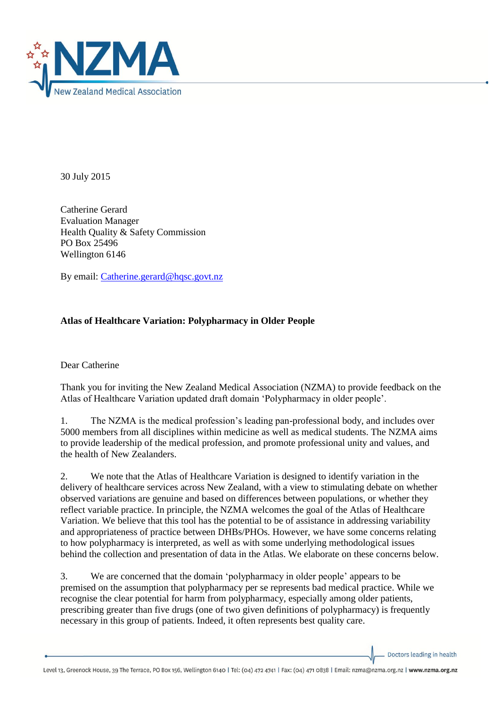

30 July 2015

Catherine Gerard Evaluation Manager Health Quality & Safety Commission PO Box 25496 Wellington 6146

By email: [Catherine.gerard@hqsc.govt.nz](mailto:Catherine.gerard@hqsc.govt.nz)

## **Atlas of Healthcare Variation: Polypharmacy in Older People**

Dear Catherine

Thank you for inviting the New Zealand Medical Association (NZMA) to provide feedback on the Atlas of Healthcare Variation updated draft domain 'Polypharmacy in older people'.

1. The NZMA is the medical profession's leading pan-professional body, and includes over 5000 members from all disciplines within medicine as well as medical students. The NZMA aims to provide leadership of the medical profession, and promote professional unity and values, and the health of New Zealanders.

2. We note that the Atlas of Healthcare Variation is designed to identify variation in the delivery of healthcare services across New Zealand, with a view to stimulating debate on whether observed variations are genuine and based on differences between populations, or whether they reflect variable practice. In principle, the NZMA welcomes the goal of the Atlas of Healthcare Variation. We believe that this tool has the potential to be of assistance in addressing variability and appropriateness of practice between DHBs/PHOs. However, we have some concerns relating to how polypharmacy is interpreted, as well as with some underlying methodological issues behind the collection and presentation of data in the Atlas. We elaborate on these concerns below.

3. We are concerned that the domain 'polypharmacy in older people' appears to be premised on the assumption that polypharmacy per se represents bad medical practice. While we recognise the clear potential for harm from polypharmacy, especially among older patients, prescribing greater than five drugs (one of two given definitions of polypharmacy) is frequently necessary in this group of patients. Indeed, it often represents best quality care.

Doctors leading in health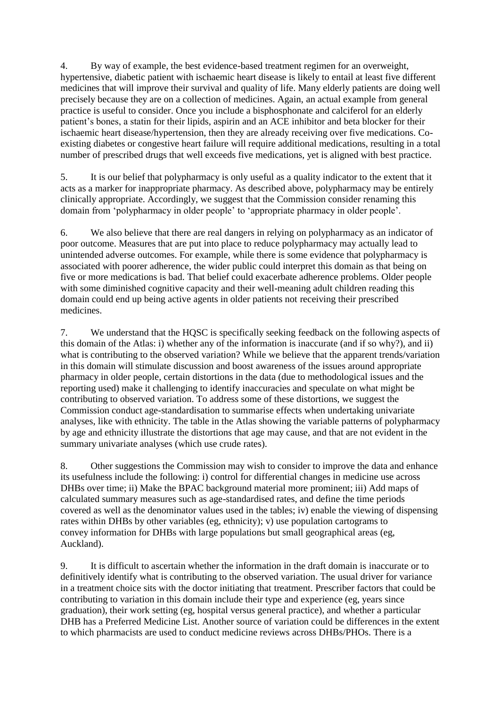4. By way of example, the best evidence-based treatment regimen for an overweight, hypertensive, diabetic patient with ischaemic heart disease is likely to entail at least five different medicines that will improve their survival and quality of life. Many elderly patients are doing well precisely because they are on a collection of medicines. Again, an actual example from general practice is useful to consider. Once you include a bisphosphonate and calciferol for an elderly patient's bones, a statin for their lipids, aspirin and an ACE inhibitor and beta blocker for their ischaemic heart disease/hypertension, then they are already receiving over five medications. Coexisting diabetes or congestive heart failure will require additional medications, resulting in a total number of prescribed drugs that well exceeds five medications, yet is aligned with best practice.

5. It is our belief that polypharmacy is only useful as a quality indicator to the extent that it acts as a marker for inappropriate pharmacy. As described above, polypharmacy may be entirely clinically appropriate. Accordingly, we suggest that the Commission consider renaming this domain from 'polypharmacy in older people' to 'appropriate pharmacy in older people'.

6. We also believe that there are real dangers in relying on polypharmacy as an indicator of poor outcome. Measures that are put into place to reduce polypharmacy may actually lead to unintended adverse outcomes. For example, while there is some evidence that polypharmacy is associated with poorer adherence, the wider public could interpret this domain as that being on five or more medications is bad. That belief could exacerbate adherence problems. Older people with some diminished cognitive capacity and their well-meaning adult children reading this domain could end up being active agents in older patients not receiving their prescribed medicines.

7. We understand that the HQSC is specifically seeking feedback on the following aspects of this domain of the Atlas: i) whether any of the information is inaccurate (and if so why?), and ii) what is contributing to the observed variation? While we believe that the apparent trends/variation in this domain will stimulate discussion and boost awareness of the issues around appropriate pharmacy in older people, certain distortions in the data (due to methodological issues and the reporting used) make it challenging to identify inaccuracies and speculate on what might be contributing to observed variation. To address some of these distortions, we suggest the Commission conduct age-standardisation to summarise effects when undertaking univariate analyses, like with ethnicity. The table in the Atlas showing the variable patterns of polypharmacy by age and ethnicity illustrate the distortions that age may cause, and that are not evident in the summary univariate analyses (which use crude rates).

8. Other suggestions the Commission may wish to consider to improve the data and enhance its usefulness include the following: i) control for differential changes in medicine use across DHBs over time; ii) Make the BPAC background material more prominent; iii) Add maps of calculated summary measures such as age-standardised rates, and define the time periods covered as well as the denominator values used in the tables; iv) enable the viewing of dispensing rates within DHBs by other variables (eg, ethnicity); v) use population cartograms to convey information for DHBs with large populations but small geographical areas (eg, Auckland).

9. It is difficult to ascertain whether the information in the draft domain is inaccurate or to definitively identify what is contributing to the observed variation. The usual driver for variance in a treatment choice sits with the doctor initiating that treatment. Prescriber factors that could be contributing to variation in this domain include their type and experience (eg, years since graduation), their work setting (eg, hospital versus general practice), and whether a particular DHB has a Preferred Medicine List. Another source of variation could be differences in the extent to which pharmacists are used to conduct medicine reviews across DHBs/PHOs. There is a